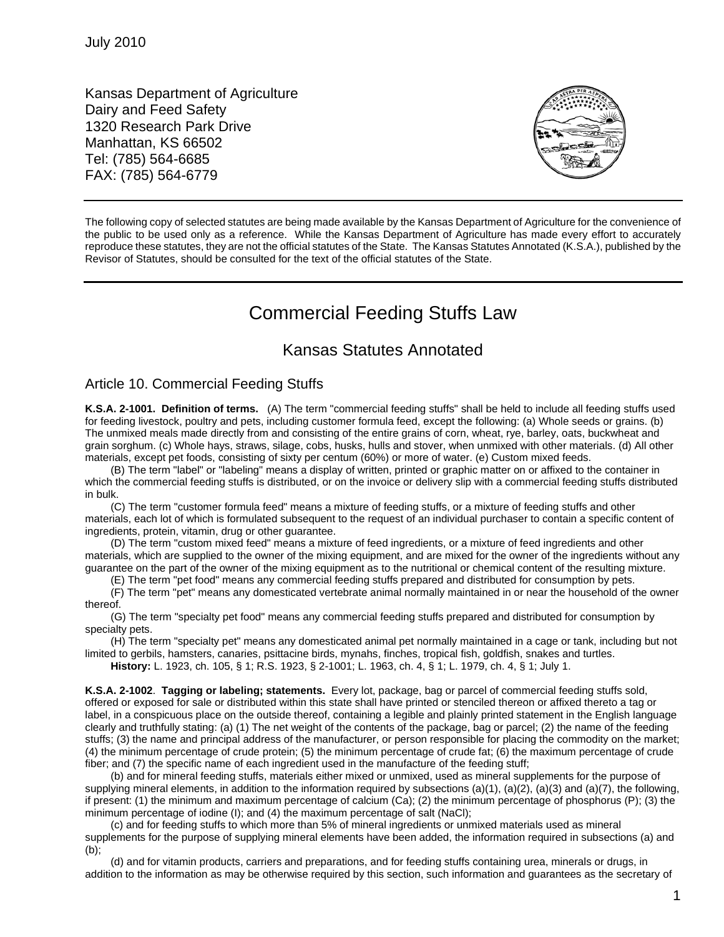Kansas Department of Agriculture Dairy and Feed Safety 1320 Research Park Drive Manhattan, KS 66502 Tel: (785) 564-6685 FAX: (785) 564-6779



The following copy of selected statutes are being made available by the Kansas Department of Agriculture for the convenience of the public to be used only as a reference. While the Kansas Department of Agriculture has made every effort to accurately reproduce these statutes, they are not the official statutes of the State. The Kansas Statutes Annotated (K.S.A.), published by the Revisor of Statutes, should be consulted for the text of the official statutes of the State.

## Commercial Feeding Stuffs Law

## Kansas Statutes Annotated

## Article 10. Commercial Feeding Stuffs

**K.S.A. 2-1001. Definition of terms.** (A) The term "commercial feeding stuffs" shall be held to include all feeding stuffs used for feeding livestock, poultry and pets, including customer formula feed, except the following: (a) Whole seeds or grains. (b) The unmixed meals made directly from and consisting of the entire grains of corn, wheat, rye, barley, oats, buckwheat and grain sorghum. (c) Whole hays, straws, silage, cobs, husks, hulls and stover, when unmixed with other materials. (d) All other materials, except pet foods, consisting of sixty per centum (60%) or more of water. (e) Custom mixed feeds.

(B) The term "label" or "labeling" means a display of written, printed or graphic matter on or affixed to the container in which the commercial feeding stuffs is distributed, or on the invoice or delivery slip with a commercial feeding stuffs distributed in bulk.

(C) The term "customer formula feed" means a mixture of feeding stuffs, or a mixture of feeding stuffs and other materials, each lot of which is formulated subsequent to the request of an individual purchaser to contain a specific content of ingredients, protein, vitamin, drug or other guarantee.

(D) The term "custom mixed feed" means a mixture of feed ingredients, or a mixture of feed ingredients and other materials, which are supplied to the owner of the mixing equipment, and are mixed for the owner of the ingredients without any guarantee on the part of the owner of the mixing equipment as to the nutritional or chemical content of the resulting mixture.

(E) The term "pet food" means any commercial feeding stuffs prepared and distributed for consumption by pets.

(F) The term "pet" means any domesticated vertebrate animal normally maintained in or near the household of the owner thereof.

(G) The term "specialty pet food" means any commercial feeding stuffs prepared and distributed for consumption by specialty pets.

(H) The term "specialty pet" means any domesticated animal pet normally maintained in a cage or tank, including but not limited to gerbils, hamsters, canaries, psittacine birds, mynahs, finches, tropical fish, goldfish, snakes and turtles.

**History:** L. 1923, ch. 105, § 1; R.S. 1923, § 2-1001; L. 1963, ch. 4, § 1; L. 1979, ch. 4, § 1; July 1.

**K.S.A. 2-1002**. **Tagging or labeling; statements.** Every lot, package, bag or parcel of commercial feeding stuffs sold, offered or exposed for sale or distributed within this state shall have printed or stenciled thereon or affixed thereto a tag or label, in a conspicuous place on the outside thereof, containing a legible and plainly printed statement in the English language clearly and truthfully stating: (a) (1) The net weight of the contents of the package, bag or parcel; (2) the name of the feeding stuffs; (3) the name and principal address of the manufacturer, or person responsible for placing the commodity on the market; (4) the minimum percentage of crude protein; (5) the minimum percentage of crude fat; (6) the maximum percentage of crude fiber; and (7) the specific name of each ingredient used in the manufacture of the feeding stuff;

(b) and for mineral feeding stuffs, materials either mixed or unmixed, used as mineral supplements for the purpose of supplying mineral elements, in addition to the information required by subsections  $(a)(1)$ ,  $(a)(2)$ ,  $(a)(3)$  and  $(a)(7)$ , the following, if present: (1) the minimum and maximum percentage of calcium (Ca); (2) the minimum percentage of phosphorus (P); (3) the minimum percentage of iodine (I); and (4) the maximum percentage of salt (NaCl);

(c) and for feeding stuffs to which more than 5% of mineral ingredients or unmixed materials used as mineral supplements for the purpose of supplying mineral elements have been added, the information required in subsections (a) and (b);

(d) and for vitamin products, carriers and preparations, and for feeding stuffs containing urea, minerals or drugs, in addition to the information as may be otherwise required by this section, such information and guarantees as the secretary of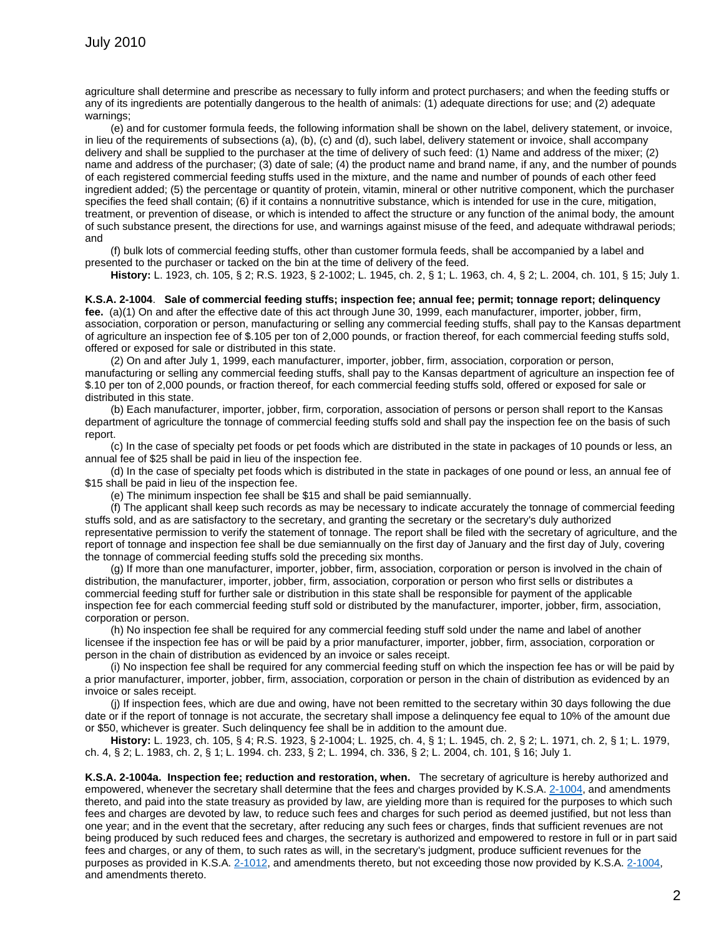agriculture shall determine and prescribe as necessary to fully inform and protect purchasers; and when the feeding stuffs or any of its ingredients are potentially dangerous to the health of animals: (1) adequate directions for use; and (2) adequate warnings;

(e) and for customer formula feeds, the following information shall be shown on the label, delivery statement, or invoice, in lieu of the requirements of subsections (a), (b), (c) and (d), such label, delivery statement or invoice, shall accompany delivery and shall be supplied to the purchaser at the time of delivery of such feed: (1) Name and address of the mixer; (2) name and address of the purchaser; (3) date of sale; (4) the product name and brand name, if any, and the number of pounds of each registered commercial feeding stuffs used in the mixture, and the name and number of pounds of each other feed ingredient added; (5) the percentage or quantity of protein, vitamin, mineral or other nutritive component, which the purchaser specifies the feed shall contain; (6) if it contains a nonnutritive substance, which is intended for use in the cure, mitigation, treatment, or prevention of disease, or which is intended to affect the structure or any function of the animal body, the amount of such substance present, the directions for use, and warnings against misuse of the feed, and adequate withdrawal periods; and

(f) bulk lots of commercial feeding stuffs, other than customer formula feeds, shall be accompanied by a label and presented to the purchaser or tacked on the bin at the time of delivery of the feed.

**History:** L. 1923, ch. 105, § 2; R.S. 1923, § 2-1002; L. 1945, ch. 2, § 1; L. 1963, ch. 4, § 2; L. 2004, ch. 101, § 15; July 1.

## **K.S.A. 2-1004**. **Sale of commercial feeding stuffs; inspection fee; annual fee; permit; tonnage report; delinquency fee.** (a)(1) On and after the effective date of this act through June 30, 1999, each manufacturer, importer, jobber, firm,

association, corporation or person, manufacturing or selling any commercial feeding stuffs, shall pay to the Kansas department of agriculture an inspection fee of \$.105 per ton of 2,000 pounds, or fraction thereof, for each commercial feeding stuffs sold, offered or exposed for sale or distributed in this state.

(2) On and after July 1, 1999, each manufacturer, importer, jobber, firm, association, corporation or person, manufacturing or selling any commercial feeding stuffs, shall pay to the Kansas department of agriculture an inspection fee of \$.10 per ton of 2,000 pounds, or fraction thereof, for each commercial feeding stuffs sold, offered or exposed for sale or distributed in this state.

(b) Each manufacturer, importer, jobber, firm, corporation, association of persons or person shall report to the Kansas department of agriculture the tonnage of commercial feeding stuffs sold and shall pay the inspection fee on the basis of such report.

(c) In the case of specialty pet foods or pet foods which are distributed in the state in packages of 10 pounds or less, an annual fee of \$25 shall be paid in lieu of the inspection fee.

(d) In the case of specialty pet foods which is distributed in the state in packages of one pound or less, an annual fee of \$15 shall be paid in lieu of the inspection fee.

(e) The minimum inspection fee shall be \$15 and shall be paid semiannually.

(f) The applicant shall keep such records as may be necessary to indicate accurately the tonnage of commercial feeding stuffs sold, and as are satisfactory to the secretary, and granting the secretary or the secretary's duly authorized representative permission to verify the statement of tonnage. The report shall be filed with the secretary of agriculture, and the report of tonnage and inspection fee shall be due semiannually on the first day of January and the first day of July, covering the tonnage of commercial feeding stuffs sold the preceding six months.

(g) If more than one manufacturer, importer, jobber, firm, association, corporation or person is involved in the chain of distribution, the manufacturer, importer, jobber, firm, association, corporation or person who first sells or distributes a commercial feeding stuff for further sale or distribution in this state shall be responsible for payment of the applicable inspection fee for each commercial feeding stuff sold or distributed by the manufacturer, importer, jobber, firm, association, corporation or person.

(h) No inspection fee shall be required for any commercial feeding stuff sold under the name and label of another licensee if the inspection fee has or will be paid by a prior manufacturer, importer, jobber, firm, association, corporation or person in the chain of distribution as evidenced by an invoice or sales receipt.

(i) No inspection fee shall be required for any commercial feeding stuff on which the inspection fee has or will be paid by a prior manufacturer, importer, jobber, firm, association, corporation or person in the chain of distribution as evidenced by an invoice or sales receipt.

(j) If inspection fees, which are due and owing, have not been remitted to the secretary within 30 days following the due date or if the report of tonnage is not accurate, the secretary shall impose a delinquency fee equal to 10% of the amount due or \$50, whichever is greater. Such delinquency fee shall be in addition to the amount due.

**History:** L. 1923, ch. 105, § 4; R.S. 1923, § 2-1004; L. 1925, ch. 4, § 1; L. 1945, ch. 2, § 2; L. 1971, ch. 2, § 1; L. 1979, ch. 4, § 2; L. 1983, ch. 2, § 1; L. 1994. ch. 233, § 2; L. 1994, ch. 336, § 2; L. 2004, ch. 101, § 16; July 1.

**K.S.A. 2-1004a. Inspection fee; reduction and restoration, when.** The secretary of agriculture is hereby authorized and empowered, whenever the secretary shall determine that the fees and charges provided by K.S.A. [2-1004,](http://www.ksrevisor.org/statutes/chapters/ch02/002_010_0004.html) and amendments thereto, and paid into the state treasury as provided by law, are yielding more than is required for the purposes to which such fees and charges are devoted by law, to reduce such fees and charges for such period as deemed justified, but not less than one year; and in the event that the secretary, after reducing any such fees or charges, finds that sufficient revenues are not being produced by such reduced fees and charges, the secretary is authorized and empowered to restore in full or in part said fees and charges, or any of them, to such rates as will, in the secretary's judgment, produce sufficient revenues for the purposes as provided in K.S.A. [2-1012,](http://www.ksrevisor.org/statutes/chapters/ch02/002_010_0012.html) and amendments thereto, but not exceeding those now provided by K.S.A. [2-1004,](http://www.ksrevisor.org/statutes/chapters/ch02/002_010_0004.html)  and amendments thereto.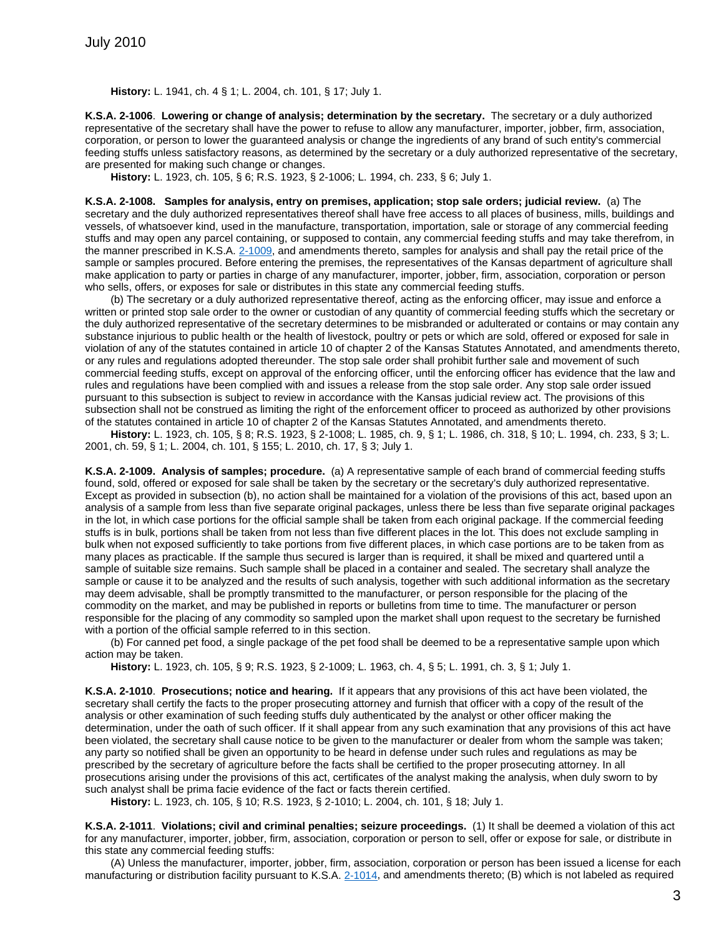**History:** L. 1941, ch. 4 § 1; L. 2004, ch. 101, § 17; July 1.

**K.S.A. 2-1006**. **Lowering or change of analysis; determination by the secretary.** The secretary or a duly authorized representative of the secretary shall have the power to refuse to allow any manufacturer, importer, jobber, firm, association, corporation, or person to lower the guaranteed analysis or change the ingredients of any brand of such entity's commercial feeding stuffs unless satisfactory reasons, as determined by the secretary or a duly authorized representative of the secretary, are presented for making such change or changes.

**History:** L. 1923, ch. 105, § 6; R.S. 1923, § 2-1006; L. 1994, ch. 233, § 6; July 1.

**K.S.A. 2-1008. Samples for analysis, entry on premises, application; stop sale orders; judicial review.** (a) The secretary and the duly authorized representatives thereof shall have free access to all places of business, mills, buildings and vessels, of whatsoever kind, used in the manufacture, transportation, importation, sale or storage of any commercial feeding stuffs and may open any parcel containing, or supposed to contain, any commercial feeding stuffs and may take therefrom, in the manner prescribed in K.S.A. [2-1009,](http://www.ksrevisor.org/statutes/chapters/ch02/002_010_0009.html) and amendments thereto, samples for analysis and shall pay the retail price of the sample or samples procured. Before entering the premises, the representatives of the Kansas department of agriculture shall make application to party or parties in charge of any manufacturer, importer, jobber, firm, association, corporation or person who sells, offers, or exposes for sale or distributes in this state any commercial feeding stuffs.

(b) The secretary or a duly authorized representative thereof, acting as the enforcing officer, may issue and enforce a written or printed stop sale order to the owner or custodian of any quantity of commercial feeding stuffs which the secretary or the duly authorized representative of the secretary determines to be misbranded or adulterated or contains or may contain any substance injurious to public health or the health of livestock, poultry or pets or which are sold, offered or exposed for sale in violation of any of the statutes contained in article 10 of chapter 2 of the Kansas Statutes Annotated, and amendments thereto, or any rules and regulations adopted thereunder. The stop sale order shall prohibit further sale and movement of such commercial feeding stuffs, except on approval of the enforcing officer, until the enforcing officer has evidence that the law and rules and regulations have been complied with and issues a release from the stop sale order. Any stop sale order issued pursuant to this subsection is subject to review in accordance with the Kansas judicial review act. The provisions of this subsection shall not be construed as limiting the right of the enforcement officer to proceed as authorized by other provisions of the statutes contained in article 10 of chapter 2 of the Kansas Statutes Annotated, and amendments thereto.

**History:** L. 1923, ch. 105, § 8; R.S. 1923, § 2-1008; L. 1985, ch. 9, § 1; L. 1986, ch. 318, § 10; L. 1994, ch. 233, § 3; L. 2001, ch. 59, § 1; L. 2004, ch. 101, § 155; L. 2010, ch. 17, § 3; July 1.

**K.S.A. 2-1009. Analysis of samples; procedure.** (a) A representative sample of each brand of commercial feeding stuffs found, sold, offered or exposed for sale shall be taken by the secretary or the secretary's duly authorized representative. Except as provided in subsection (b), no action shall be maintained for a violation of the provisions of this act, based upon an analysis of a sample from less than five separate original packages, unless there be less than five separate original packages in the lot, in which case portions for the official sample shall be taken from each original package. If the commercial feeding stuffs is in bulk, portions shall be taken from not less than five different places in the lot. This does not exclude sampling in bulk when not exposed sufficiently to take portions from five different places, in which case portions are to be taken from as many places as practicable. If the sample thus secured is larger than is required, it shall be mixed and quartered until a sample of suitable size remains. Such sample shall be placed in a container and sealed. The secretary shall analyze the sample or cause it to be analyzed and the results of such analysis, together with such additional information as the secretary may deem advisable, shall be promptly transmitted to the manufacturer, or person responsible for the placing of the commodity on the market, and may be published in reports or bulletins from time to time. The manufacturer or person responsible for the placing of any commodity so sampled upon the market shall upon request to the secretary be furnished with a portion of the official sample referred to in this section.

(b) For canned pet food, a single package of the pet food shall be deemed to be a representative sample upon which action may be taken.

**History:** L. 1923, ch. 105, § 9; R.S. 1923, § 2-1009; L. 1963, ch. 4, § 5; L. 1991, ch. 3, § 1; July 1.

**K.S.A. 2-1010**. **Prosecutions; notice and hearing.** If it appears that any provisions of this act have been violated, the secretary shall certify the facts to the proper prosecuting attorney and furnish that officer with a copy of the result of the analysis or other examination of such feeding stuffs duly authenticated by the analyst or other officer making the determination, under the oath of such officer. If it shall appear from any such examination that any provisions of this act have been violated, the secretary shall cause notice to be given to the manufacturer or dealer from whom the sample was taken; any party so notified shall be given an opportunity to be heard in defense under such rules and regulations as may be prescribed by the secretary of agriculture before the facts shall be certified to the proper prosecuting attorney. In all prosecutions arising under the provisions of this act, certificates of the analyst making the analysis, when duly sworn to by such analyst shall be prima facie evidence of the fact or facts therein certified.

**History:** L. 1923, ch. 105, § 10; R.S. 1923, § 2-1010; L. 2004, ch. 101, § 18; July 1.

**K.S.A. 2-1011**. **Violations; civil and criminal penalties; seizure proceedings.** (1) It shall be deemed a violation of this act for any manufacturer, importer, jobber, firm, association, corporation or person to sell, offer or expose for sale, or distribute in this state any commercial feeding stuffs:

(A) Unless the manufacturer, importer, jobber, firm, association, corporation or person has been issued a license for each manufacturing or distribution facility pursuant to K.S.A. [2-1014,](http://www.ksrevisor.org/statutes/chapters/ch02/002_010_0014.html) and amendments thereto; (B) which is not labeled as required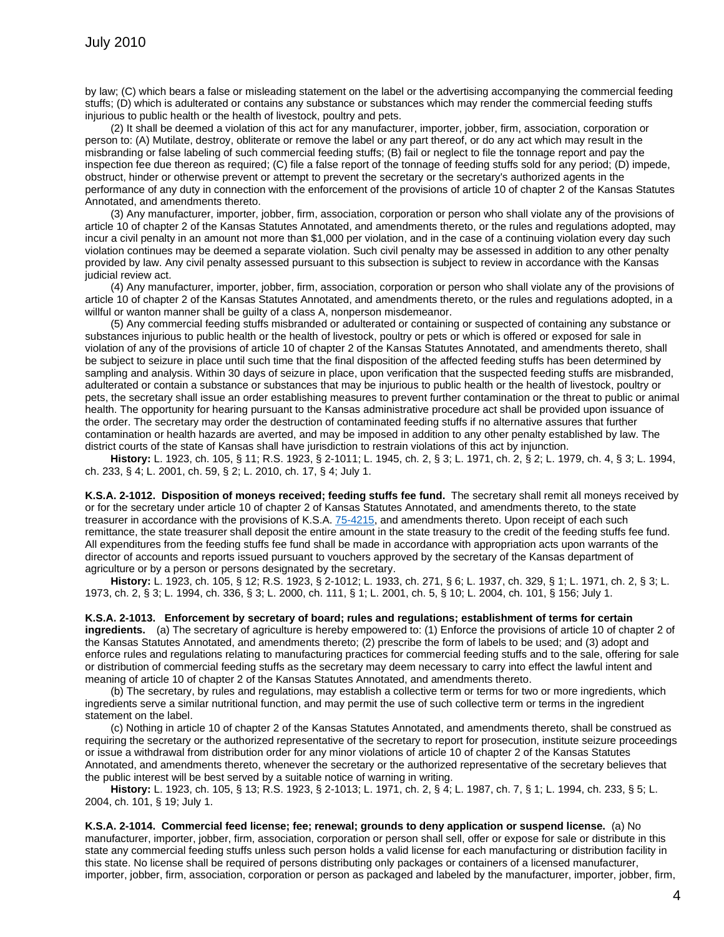by law; (C) which bears a false or misleading statement on the label or the advertising accompanying the commercial feeding stuffs; (D) which is adulterated or contains any substance or substances which may render the commercial feeding stuffs injurious to public health or the health of livestock, poultry and pets.

(2) It shall be deemed a violation of this act for any manufacturer, importer, jobber, firm, association, corporation or person to: (A) Mutilate, destroy, obliterate or remove the label or any part thereof, or do any act which may result in the misbranding or false labeling of such commercial feeding stuffs; (B) fail or neglect to file the tonnage report and pay the inspection fee due thereon as required; (C) file a false report of the tonnage of feeding stuffs sold for any period; (D) impede, obstruct, hinder or otherwise prevent or attempt to prevent the secretary or the secretary's authorized agents in the performance of any duty in connection with the enforcement of the provisions of article 10 of chapter 2 of the Kansas Statutes Annotated, and amendments thereto.

(3) Any manufacturer, importer, jobber, firm, association, corporation or person who shall violate any of the provisions of article 10 of chapter 2 of the Kansas Statutes Annotated, and amendments thereto, or the rules and regulations adopted, may incur a civil penalty in an amount not more than \$1,000 per violation, and in the case of a continuing violation every day such violation continues may be deemed a separate violation. Such civil penalty may be assessed in addition to any other penalty provided by law. Any civil penalty assessed pursuant to this subsection is subject to review in accordance with the Kansas judicial review act.

(4) Any manufacturer, importer, jobber, firm, association, corporation or person who shall violate any of the provisions of article 10 of chapter 2 of the Kansas Statutes Annotated, and amendments thereto, or the rules and regulations adopted, in a willful or wanton manner shall be guilty of a class A, nonperson misdemeanor.

(5) Any commercial feeding stuffs misbranded or adulterated or containing or suspected of containing any substance or substances injurious to public health or the health of livestock, poultry or pets or which is offered or exposed for sale in violation of any of the provisions of article 10 of chapter 2 of the Kansas Statutes Annotated, and amendments thereto, shall be subject to seizure in place until such time that the final disposition of the affected feeding stuffs has been determined by sampling and analysis. Within 30 days of seizure in place, upon verification that the suspected feeding stuffs are misbranded, adulterated or contain a substance or substances that may be injurious to public health or the health of livestock, poultry or pets, the secretary shall issue an order establishing measures to prevent further contamination or the threat to public or animal health. The opportunity for hearing pursuant to the Kansas administrative procedure act shall be provided upon issuance of the order. The secretary may order the destruction of contaminated feeding stuffs if no alternative assures that further contamination or health hazards are averted, and may be imposed in addition to any other penalty established by law. The district courts of the state of Kansas shall have jurisdiction to restrain violations of this act by injunction.

**History:** L. 1923, ch. 105, § 11; R.S. 1923, § 2-1011; L. 1945, ch. 2, § 3; L. 1971, ch. 2, § 2; L. 1979, ch. 4, § 3; L. 1994, ch. 233, § 4; L. 2001, ch. 59, § 2; L. 2010, ch. 17, § 4; July 1.

**K.S.A. 2-1012. Disposition of moneys received; feeding stuffs fee fund.** The secretary shall remit all moneys received by or for the secretary under article 10 of chapter 2 of Kansas Statutes Annotated, and amendments thereto, to the state treasurer in accordance with the provisions of K.S.A. [75-4215,](http://www.ksrevisor.org/statutes/chapters/ch75/075_042_0015.html) and amendments thereto. Upon receipt of each such remittance, the state treasurer shall deposit the entire amount in the state treasury to the credit of the feeding stuffs fee fund. All expenditures from the feeding stuffs fee fund shall be made in accordance with appropriation acts upon warrants of the director of accounts and reports issued pursuant to vouchers approved by the secretary of the Kansas department of agriculture or by a person or persons designated by the secretary.

**History:** L. 1923, ch. 105, § 12; R.S. 1923, § 2-1012; L. 1933, ch. 271, § 6; L. 1937, ch. 329, § 1; L. 1971, ch. 2, § 3; L. 1973, ch. 2, § 3; L. 1994, ch. 336, § 3; L. 2000, ch. 111, § 1; L. 2001, ch. 5, § 10; L. 2004, ch. 101, § 156; July 1.

**K.S.A. 2-1013. Enforcement by secretary of board; rules and regulations; establishment of terms for certain ingredients.** (a) The secretary of agriculture is hereby empowered to: (1) Enforce the provisions of article 10 of chapter 2 of the Kansas Statutes Annotated, and amendments thereto; (2) prescribe the form of labels to be used; and (3) adopt and enforce rules and regulations relating to manufacturing practices for commercial feeding stuffs and to the sale, offering for sale or distribution of commercial feeding stuffs as the secretary may deem necessary to carry into effect the lawful intent and meaning of article 10 of chapter 2 of the Kansas Statutes Annotated, and amendments thereto.

(b) The secretary, by rules and regulations, may establish a collective term or terms for two or more ingredients, which ingredients serve a similar nutritional function, and may permit the use of such collective term or terms in the ingredient statement on the label.

(c) Nothing in article 10 of chapter 2 of the Kansas Statutes Annotated, and amendments thereto, shall be construed as requiring the secretary or the authorized representative of the secretary to report for prosecution, institute seizure proceedings or issue a withdrawal from distribution order for any minor violations of article 10 of chapter 2 of the Kansas Statutes Annotated, and amendments thereto, whenever the secretary or the authorized representative of the secretary believes that the public interest will be best served by a suitable notice of warning in writing.

**History:** L. 1923, ch. 105, § 13; R.S. 1923, § 2-1013; L. 1971, ch. 2, § 4; L. 1987, ch. 7, § 1; L. 1994, ch. 233, § 5; L. 2004, ch. 101, § 19; July 1.

**K.S.A. 2-1014. Commercial feed license; fee; renewal; grounds to deny application or suspend license.** (a) No manufacturer, importer, jobber, firm, association, corporation or person shall sell, offer or expose for sale or distribute in this state any commercial feeding stuffs unless such person holds a valid license for each manufacturing or distribution facility in this state. No license shall be required of persons distributing only packages or containers of a licensed manufacturer, importer, jobber, firm, association, corporation or person as packaged and labeled by the manufacturer, importer, jobber, firm,